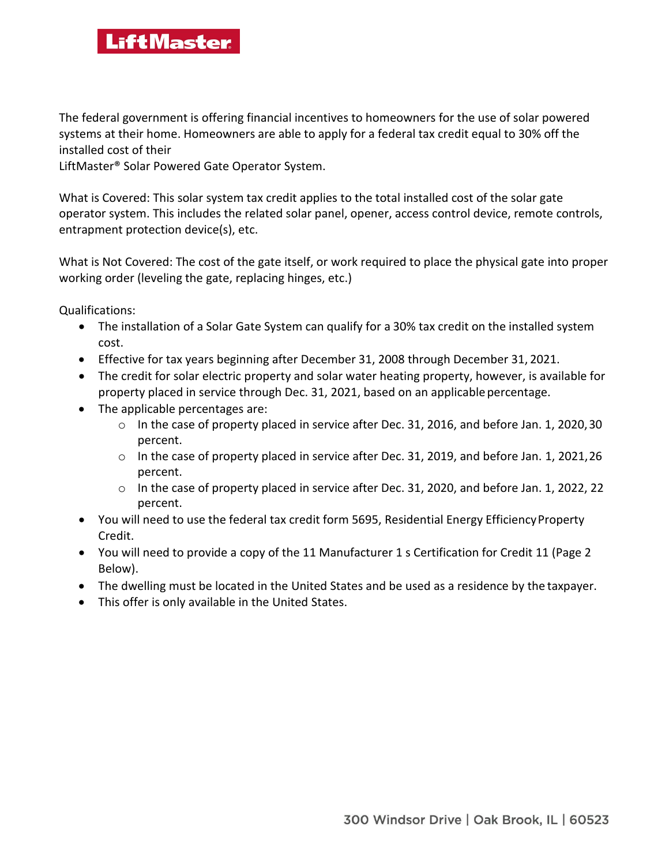## **LiftMaster**

The federal government is offering financial incentives to homeowners for the use of solar powered systems at their home. Homeowners are able to apply for a federal tax credit equal to 30% off the installed cost of their

LiftMaster® Solar Powered Gate Operator System.

What is Covered: This solar system tax credit applies to the total installed cost of the solar gate operator system. This includes the related solar panel, opener, access control device, remote controls, entrapment protection device(s), etc.

What is Not Covered: The cost of the gate itself, or work required to place the physical gate into proper working order (leveling the gate, replacing hinges, etc.)

Qualifications:

- The installation of a Solar Gate System can qualify for a 30% tax credit on the installed system cost.
- Effective for tax years beginning after December 31, 2008 through December 31, 2021.
- The credit for solar electric property and solar water heating property, however, is available for property placed in service through Dec. 31, 2021, based on an applicable percentage.
- The applicable percentages are:
	- o In the case of property placed in service after Dec. 31, 2016, and before Jan. 1, 2020, 30 percent.
	- o In the case of property placed in service after Dec. 31, 2019, and before Jan. 1, 2021, 26 percent.
	- $\circ$  In the case of property placed in service after Dec. 31, 2020, and before Jan. 1, 2022, 22 percent.
- You will need to use the federal tax credit form 5695, Residential Energy Efficiency Property Credit.
- You will need to provide a copy of the 11 Manufacturer 1 s Certification for Credit 11 (Page 2 Below).
- The dwelling must be located in the United States and be used as a residence by the taxpayer.
- This offer is only available in the United States.